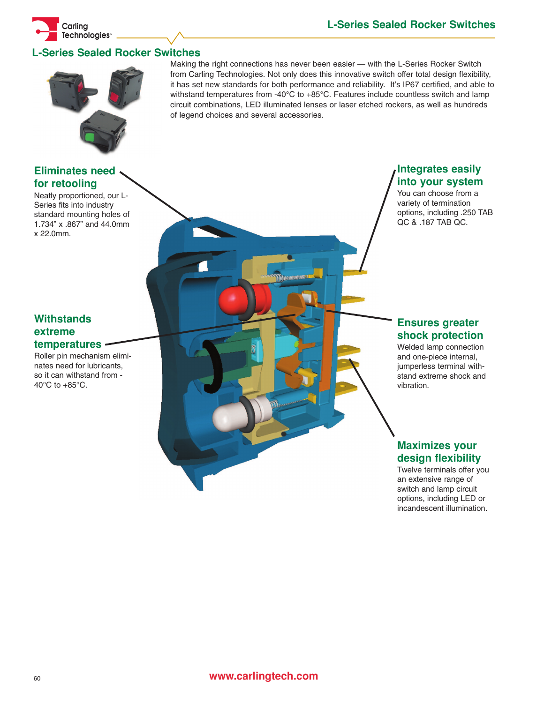# **L-Series Sealed Rocker Switches**



## **Eliminates need for retooling**

**Carling Technologies™**

Neatly proportioned, our L-Series fits into industry standard mounting holes of 1.734" x .867" and 44.0mm x 22.0mm.

## **Withstands extreme temperatures**

Roller pin mechanism eliminates need for lubricants, so it can withstand from - 40°C to +85°C.

Making the right connections has never been easier — with the L-Series Rocker Switch from Carling Technologies. Not only does this innovative switch offer total design flexibility, it has set new standards for both performance and reliability. It's IP67 certified, and able to withstand temperatures from -40°C to +85°C. Features include countless switch and lamp circuit combinations, LED illuminated lenses or laser etched rockers, as well as hundreds of legend choices and several accessories.

# **Integrates easily into your system**

You can choose from a variety of termination options, including .250 TAB QC & .187 TAB QC.

## **Ensures greater shock protection**

Welded lamp connection and one-piece internal, jumperless terminal withstand extreme shock and vibration.

## **Maximizes your design flexibility**

Twelve terminals offer you an extensive range of switch and lamp circuit options, including LED or incandescent illumination.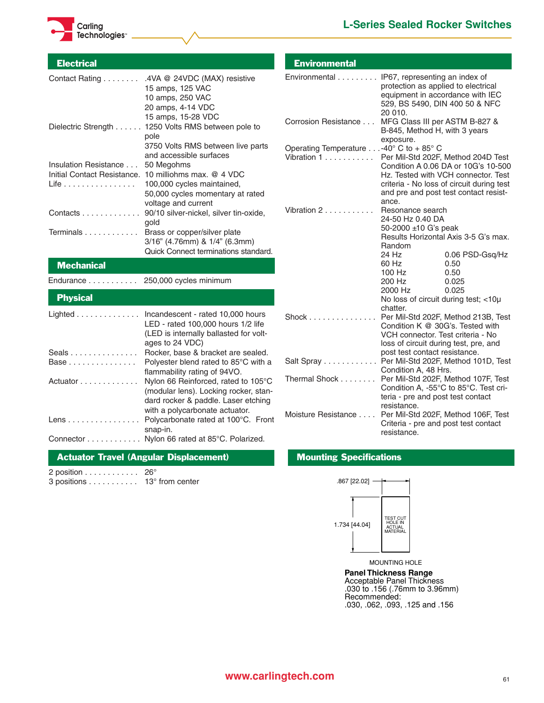



2 position . . . . . . . . . . . . 26°

3 positions . . . . . . . . . . . 13° from center

| <b>Electrical</b>                |                                                                                                                                                     | <b>Environmental</b>                         |                                                                                                                            |                                                                                                                                                                                                        |
|----------------------------------|-----------------------------------------------------------------------------------------------------------------------------------------------------|----------------------------------------------|----------------------------------------------------------------------------------------------------------------------------|--------------------------------------------------------------------------------------------------------------------------------------------------------------------------------------------------------|
|                                  | Contact Rating 4VA @ 24VDC (MAX) resistive<br>15 amps, 125 VAC<br>10 amps, 250 VAC<br>20 amps, 4-14 VDC                                             | Environmental IP67, representing an index of | protection as applied to electrical<br>equipment in accordance with IEC<br>529, BS 5490, DIN 400 50 & NFC<br>20 010.       |                                                                                                                                                                                                        |
|                                  | 15 amps, 15-28 VDC<br>Dielectric Strength 1250 Volts RMS between pole to<br>pole                                                                    | Corrosion Resistance                         | MFG Class III per ASTM B-827 &<br>B-845, Method H, with 3 years<br>exposure.                                               |                                                                                                                                                                                                        |
|                                  | 3750 Volts RMS between live parts<br>and accessible surfaces                                                                                        | Operating Temperature -40° C to + 85° C      |                                                                                                                            |                                                                                                                                                                                                        |
| Insulation Resistance<br>Life    | 50 Megohms<br>Initial Contact Resistance. 10 milliohms max. @ 4 VDC<br>100,000 cycles maintained,<br>50,000 cycles momentary at rated               | Vibration 1                                  |                                                                                                                            | Per Mil-Std 202F, Method 204D Test<br>Condition A 0.06 DA or 10G's 10-500<br>Hz. Tested with VCH connector. Test<br>criteria - No loss of circuit during test<br>and pre and post test contact resist- |
|                                  | voltage and current<br>Contacts 90/10 silver-nickel, silver tin-oxide,<br>gold                                                                      | Vibration 2                                  | ance.<br>Resonance search<br>24-50 Hz 0.40 DA                                                                              |                                                                                                                                                                                                        |
| Terminals                        | Brass or copper/silver plate<br>3/16" (4.76mm) & 1/4" (6.3mm)<br>Quick Connect terminations standard.                                               |                                              | 50-2000 ±10 G's peak<br>Random                                                                                             | Results Horizontal Axis 3-5 G's max.                                                                                                                                                                   |
| <b>Mechanical</b>                |                                                                                                                                                     |                                              | 24 Hz<br>60 Hz                                                                                                             | 0.06 PSD-Gsq/Hz<br>0.50                                                                                                                                                                                |
|                                  |                                                                                                                                                     |                                              | 100 Hz                                                                                                                     | 0.50                                                                                                                                                                                                   |
| Endurance 250,000 cycles minimum |                                                                                                                                                     |                                              | 200 Hz                                                                                                                     | 0.025                                                                                                                                                                                                  |
| <b>Physical</b>                  |                                                                                                                                                     |                                              | 2000 Hz<br>No loss of circuit during test; <10µ                                                                            | 0.025                                                                                                                                                                                                  |
|                                  | Lighted Incandescent - rated 10,000 hours<br>LED - rated 100,000 hours 1/2 life<br>(LED is internally ballasted for volt-<br>ages to 24 VDC)        | $Shock$                                      | chatter.<br>Condition K @ 30G's. Tested with<br>VCH connector. Test criteria - No<br>loss of circuit during test, pre, and | Per Mil-Std 202F, Method 213B, Test                                                                                                                                                                    |
| Seals                            | Rocker, base & bracket are sealed.                                                                                                                  |                                              | post test contact resistance.                                                                                              |                                                                                                                                                                                                        |
| Base                             | Polyester blend rated to 85°C with a                                                                                                                | Salt Spray                                   | Condition A, 48 Hrs.                                                                                                       | Per Mil-Std 202F, Method 101D, Test                                                                                                                                                                    |
| Actuator                         | flammability rating of 94VO.<br>Nylon 66 Reinforced, rated to 105°C<br>(modular lens). Locking rocker, stan-<br>dard rocker & paddle. Laser etching | Thermal Shock                                | teria - pre and post test contact<br>resistance.                                                                           | Per Mil-Std 202F, Method 107F, Test<br>Condition A, -55°C to 85°C. Test cri-                                                                                                                           |
| Lens                             | with a polycarbonate actuator.<br>Polycarbonate rated at 100°C. Front<br>snap-in.                                                                   | Moisture Resistance                          | Per Mil-Std 202F, Method 106F, Test<br>Criteria - pre and post test contact<br>resistance.                                 |                                                                                                                                                                                                        |
|                                  | Connector Nylon 66 rated at 85°C. Polarized.                                                                                                        |                                              |                                                                                                                            |                                                                                                                                                                                                        |

### Actuator Travel (Angular Displacement) Mounting Specifications



MOUNTING HOLE **Panel Thickness Range** Acceptable Panel Thickness .030 to .156 (.76mm to 3.96mm)

Recommended: .030, .062, .093, .125 and .156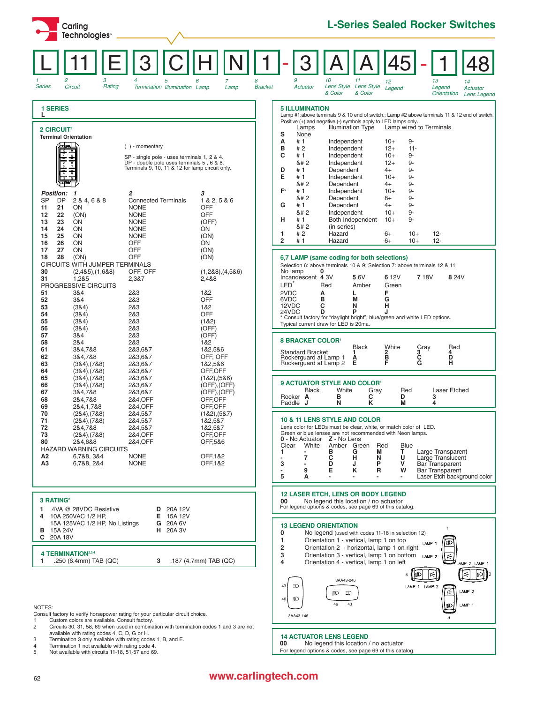| Carling<br>Technologies <sup>®</sup>                                                                                                                                                                                                                                                                                                                                                                                                                                                                                           |                                                                                                                                         | <b>L-Series Sealed Rocker Switches</b>                                                                                                                                                                                                                                                                                                                                                                                                                                                                                                                                                                                                                                                                                                                                                                                                                                                                                         |  |  |  |  |
|--------------------------------------------------------------------------------------------------------------------------------------------------------------------------------------------------------------------------------------------------------------------------------------------------------------------------------------------------------------------------------------------------------------------------------------------------------------------------------------------------------------------------------|-----------------------------------------------------------------------------------------------------------------------------------------|--------------------------------------------------------------------------------------------------------------------------------------------------------------------------------------------------------------------------------------------------------------------------------------------------------------------------------------------------------------------------------------------------------------------------------------------------------------------------------------------------------------------------------------------------------------------------------------------------------------------------------------------------------------------------------------------------------------------------------------------------------------------------------------------------------------------------------------------------------------------------------------------------------------------------------|--|--|--|--|
| 3<br>2<br>4<br>5<br>Rating<br><b>Series</b><br>Circuit<br>Termination Illumination Lamp                                                                                                                                                                                                                                                                                                                                                                                                                                        | 8<br>6<br><b>Bracket</b><br>Lamp                                                                                                        | 9<br>10<br>11<br>13<br>12<br>14<br>Lens Style<br><b>Lens Style</b><br>Actuator<br>Legend<br>Legend<br>Actuator<br>& Color<br>& Color<br>Orientation<br>Lens Legend                                                                                                                                                                                                                                                                                                                                                                                                                                                                                                                                                                                                                                                                                                                                                             |  |  |  |  |
| <b>1 SERIES</b><br>2 CIRCUIT <sup>2</sup><br><b>Terminal Orientation</b><br>ᆋॾॼऻ<br>$( )$ - momentary<br>SP - single pole - uses terminals 1, 2 & 4.<br>DP - double pole uses terminals 5, 6 & 8.<br>Terminals 9, 10, 11 & 12 for lamp circuit only.<br>2<br><b>Position:</b><br>$\mathbf{1}$<br>SP<br>DP<br>2 & 4, 6 & 8<br><b>Connected Terminals</b><br><b>NONE</b><br>21<br>ON<br>11<br>(ON)<br><b>NONE</b><br>12<br>22<br>13<br>23<br>ON<br><b>NONE</b><br><b>NONE</b><br>14<br>24<br>ON<br><b>NONE</b><br>15<br>25<br>ON | 3<br>1 & 2, 5 & 6<br><b>OFF</b><br><b>OFF</b><br>(OFF)<br>ON<br>(ON)                                                                    | <b>5 ILLUMINATION</b><br>Lamp #1:above terminals 9 & 10 end of switch.; Lamp #2 above terminals 11 & 12 end of switch.<br>Positive (+) and negative (-) symbols apply to LED lamps only.<br><b>Illumination Type</b><br>Lamp wired to Terminals<br>Lamps<br>s<br>None<br>А<br>#1<br>$9-$<br>Independent<br>$10+$<br>B<br>#2<br>Independent<br>$12+$<br>$11 -$<br>c<br>#1<br>Independent<br>$10+$<br>9-<br>9-<br>8#2<br>Independent<br>$12+$<br>D<br>$9-$<br>#1<br>Dependent<br>4+<br>Е<br>9-<br>#1<br>Independent<br>$10+$<br>9-<br>8#2<br>Dependent<br>$4+$<br>F <sup>5</sup><br>$9-$<br>#1<br>Independent<br>$10+$<br>$9-$<br>8#2<br>Dependent<br>$8+$<br>9-<br>G<br>#1<br>Dependent<br>$4+$<br>Independent<br>$9-$<br>8#2<br>$10+$<br>Both Independent<br>н<br># 1<br>9-<br>$10+$<br>8#2<br>(in series)<br>#2<br>Hazard<br>$6+$<br>$10+$<br>$12 -$<br>1<br>$\overline{\mathbf{2}}$<br>#1<br>Hazard<br>$10+$<br>$12 -$<br>6+ |  |  |  |  |
| 16<br>26<br>ON<br>OFF<br>27<br><b>OFF</b><br>17<br><b>ON</b><br>(ON)<br><b>OFF</b><br>28<br>18<br>CIRCUITS WITH JUMPER TERMINALS<br>30<br>OFF, OFF<br>$(2,485)$ , $(1,688)$<br>31<br>1,2&5<br>2,3&7<br>PROGRESSIVE CIRCUITS<br>2&3<br>51<br>3&4<br>52<br>3&4<br>2&3<br>53<br>(384)<br>2&3<br>54<br>(384)<br>2&3<br>55<br>2&3<br>(384)<br>56<br>(384)<br>2&3                                                                                                                                                                    | ON<br>(ON)<br>(ON)<br>$(1,288)$ , $(4,586)$<br>2,4&8<br>1&2<br><b>OFF</b><br>1&2<br><b>OFF</b><br>(1&2)<br>(OFF)                        | 6,7 LAMP (same coding for both selections)<br>Selection 6: above terminals 10 & 9; Selection 7: above terminals 12 & 11<br>No lamp<br>0<br>Incandescent 4 3V<br>56V<br>6 12V<br><b>718V</b><br>8 2 4 V<br>LED <sup>®</sup><br>Red<br>Amber<br>Green<br>2VDC<br>F<br>Α<br>L<br>B<br>6VDC<br>G<br>М<br>C<br>12VDC<br>N<br>н<br>D<br>24VDC<br>P<br>۱.<br>* Consult factory for "daylight bright", blue/green and white LED options.<br>Typical current draw for LED is 20ma.                                                                                                                                                                                                                                                                                                                                                                                                                                                      |  |  |  |  |
| 57<br>3&4<br>2&3<br>58<br>2&4<br>2&3<br>61<br>3&4,7&8<br>2&3,6&7<br>62<br>3&4,7&8<br>2&3,6&7<br>63<br>2&3,6&7<br>$(384)$ , $(788)$<br>64<br>$(384)$ , $(788)$<br>2&3,6&7<br>65<br>$(384)$ , $(788)$<br>2&3,6&7                                                                                                                                                                                                                                                                                                                 | (OFF)<br>1&2<br>1&2,5&6<br>OFF, OFF<br>1&2,5&6<br>OFF, OFF<br>(182), (586)                                                              | <b>8 BRACKET COLOR</b><br><b>Black</b><br>White<br>Red<br>Gray<br><b>Standard Bracket</b><br>3<br>CG<br>2<br>B<br>F<br>4<br>Ŕ<br>Rockerguard at Lamp 1<br>A<br>E<br>Rockerguard at Lamp 2<br><b>9 ACTUATOR STYLE AND COLOR'</b>                                                                                                                                                                                                                                                                                                                                                                                                                                                                                                                                                                                                                                                                                                |  |  |  |  |
| $(384)$ , $(788)$<br>2&3,6&7<br>66<br>67<br>3&4,7&8<br>2&3,6&7<br>68<br>2&4, OFF<br>2&4,7&8<br>69<br>2&4,1,7&8<br>2&4, OFF<br>70<br>2&4,5&7<br>$(284)$ , $(788)$<br>71<br>2&4,5&7<br>$(284)$ , $(788)$<br>72<br>2&4,5&7<br>2&4,7&8<br>73<br>$(284)$ , $(788)$<br>2&4, OFF<br>80<br>2&4, OFF<br>2&4,6&8<br><b>HAZARD WARNING CIRCUITS</b><br>А2<br>6,7&8, 3&4<br><b>NONE</b><br>A <sub>3</sub><br><b>NONE</b><br>6,7&8, 2&4                                                                                                     | (OFF), (OFF)<br>(OFF), (OFF)<br>OFF, OFF<br>OFF, OFF<br>(182), (587)<br>1&2,5&7<br>1&2,5&7<br>OFF,OFF<br>OFF,5&6<br>OFF,1&2<br>OFF, 1&2 | White<br>Black<br>Gray<br>Laser Etched<br>Red<br>в<br>с<br>D<br>3<br>Rocker A<br>Paddle J<br>N<br>κ<br>М<br>4<br>10 & 11 LENS STYLE AND COLOR<br>Lens color for LEDs must be clear, white, or match color of LED.<br>Green or blue lenses are not recommended with Neon lamps.<br>0 - No Actuator Z - No Lens<br>White<br>Amber Green<br>Red<br>Clear<br>Blue<br>т<br>в<br>M<br>Large Transparent<br>1<br>G<br>с<br>U<br>Large Translucent<br>7<br>н<br>N<br>$\blacksquare$<br>3<br>D<br>P<br>v<br><b>Bar Transparent</b><br>J<br>Е<br>ĸ<br>R<br>Bar Transparent<br>9<br>W<br>٠<br>5<br>Laser Etch background color<br>Α<br>٠<br>٠                                                                                                                                                                                                                                                                                             |  |  |  |  |
| 3 RATING <sup>2</sup><br>.4VA @ 28VDC Resistive<br>20A 12V<br>D<br>1.<br>4 10A 250VAC 1/2 HP,<br>Е<br>15A 12V                                                                                                                                                                                                                                                                                                                                                                                                                  |                                                                                                                                         | <b>12 LASER ETCH, LENS OR BODY LEGEND</b><br>00<br>No legend this location / no actuator<br>For legend options & codes, see page 69 of this catalog.                                                                                                                                                                                                                                                                                                                                                                                                                                                                                                                                                                                                                                                                                                                                                                           |  |  |  |  |
| 15A 125VAC 1/2 HP, No Listings<br>G<br>20A 6V<br>15A 24V<br>20A 3V<br>н.<br>в<br>C 20A 18V<br>4 TERMINATION <sup>2,3,4</sup><br>.250 (6.4mm) TAB (QC)<br>3<br>1<br>NOTES:<br>Consult factory to verify horsepower rating for your particular circuit choice.                                                                                                                                                                                                                                                                   | .187 $(4.7mm)$ TAB $(QC)$                                                                                                               | <b>13 LEGEND ORIENTATION</b><br>$\mathbf{1}$<br>0<br>No legend (used with codes 11-18 in selection 12)<br>Orientation 1 - vertical, lamp 1 on top<br>1<br>LAMP <sub>1</sub><br>$\overline{\mathbf{2}}$<br>Orientation 2 - horizontal, lamp 1 on right<br>3<br>Orientation 3 - vertical, lamp 1 on bottom LAMP 2<br>Ŕ<br>4<br>Orientation 4 - vertical, lamp 1 on left<br>LAMP 2 LAMP 1<br>ρ÷<br>3AA43-246<br>43<br>ΞD<br>LAMP 1 LAMP 2<br>LAMP <sub>2</sub><br>Ŕ<br>卽<br>ΞD<br>€<br>46<br>46<br>43<br>LAMP 1<br>ø<br>3AA43-146                                                                                                                                                                                                                                                                                                                                                                                                 |  |  |  |  |

Consult factory to verify horsepower rating for your particular circuit choice.<br>
Custom colors are available. Consult factory.<br>
2 Circuits 30, 31, 58, 69 when used in combination with termination codes 1 and 3 are not<br>
ava

# <sup>62</sup> **www.carlingtech.com**

**14 ACTUATOR LENS LEGEND**

**00** No legend this location / no actuator<br>For legend options & codes, see page 69 of this catalog.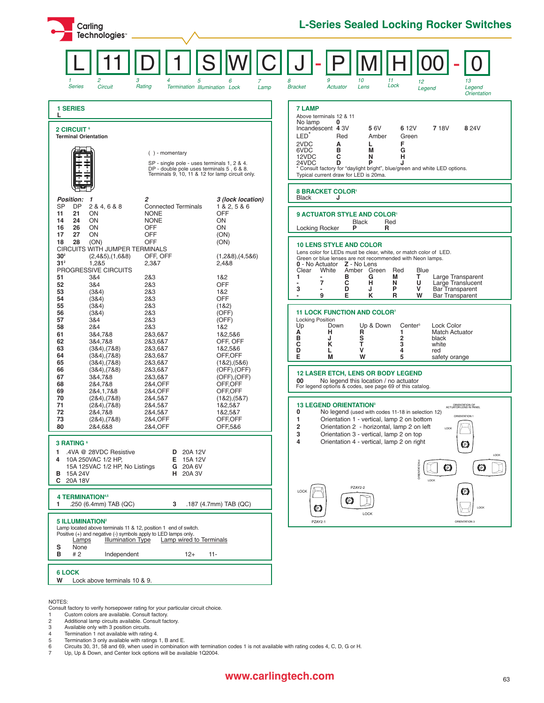| Carling<br>Technologies <sup>®</sup>                                                                                                                                                                                                                                                                                                                                                                                                                                                                                                                                                                                                                                                                                                                                                                                                     | <b>L-Series Sealed Locking Rocker Switches</b>                                                                                                                                                                                                                                                                                                                                                                                                                                                                                                                                                                                                                                                                                                                                                                                                                    |
|------------------------------------------------------------------------------------------------------------------------------------------------------------------------------------------------------------------------------------------------------------------------------------------------------------------------------------------------------------------------------------------------------------------------------------------------------------------------------------------------------------------------------------------------------------------------------------------------------------------------------------------------------------------------------------------------------------------------------------------------------------------------------------------------------------------------------------------|-------------------------------------------------------------------------------------------------------------------------------------------------------------------------------------------------------------------------------------------------------------------------------------------------------------------------------------------------------------------------------------------------------------------------------------------------------------------------------------------------------------------------------------------------------------------------------------------------------------------------------------------------------------------------------------------------------------------------------------------------------------------------------------------------------------------------------------------------------------------|
| 3<br>2<br>5<br>4<br>6<br>Circuit<br>Rating<br><b>Series</b><br>Termination Illumination Lock<br>Lamp                                                                                                                                                                                                                                                                                                                                                                                                                                                                                                                                                                                                                                                                                                                                     | 9<br>8<br>10<br>11<br>13<br>12<br>Lock<br>Lens<br><b>Bracket</b><br>Actuator<br>Legend<br>Legend<br><b>Orientation</b>                                                                                                                                                                                                                                                                                                                                                                                                                                                                                                                                                                                                                                                                                                                                            |
| <b>1 SERIES</b><br>L<br>2 CIRCUIT <sup>6</sup><br><b>Terminal Orientation</b><br>$( )$ - momentary<br>SP - single pole - uses terminals 1, 2 & 4.<br>DP - double pole uses terminals 5, 6 & 8.<br>Terminals 9, 10, 11 & 12 for lamp circuit only.<br>2<br>3 (lock location)<br><b>Position:</b><br>$\mathbf{1}$<br><b>SP</b><br><b>DP</b><br>2 & 4, 6 & 8<br><b>Connected Terminals</b><br>1 & 2, 5 & 6<br><b>OFF</b><br>21<br>ON<br><b>NONE</b>                                                                                                                                                                                                                                                                                                                                                                                         | <b>7 LAMP</b><br>Above terminals 12 & 11<br>No lamp<br>0<br>Incandescent 4 3V<br>6 12V<br><b>718V</b><br>56V<br>8 2 4 V<br>LED <sup>®</sup><br>Red<br>Amber<br>Green<br>2VDC<br>F<br>А<br>L<br>в<br>6VDC<br>M<br>G<br>C<br>12VDC<br>н<br>N<br>24VDC<br>D<br>P<br>* Consult factory for "daylight bright", blue/green and white LED options.<br>Typical current draw for LED is 20ma.<br><b>8 BRACKET COLOR'</b><br>Black<br>J                                                                                                                                                                                                                                                                                                                                                                                                                                     |
| 11<br><b>NONE</b><br>ON<br>14<br>24<br>ON<br><b>OFF</b><br>ON<br>16<br>26<br>ON<br>27<br>ON<br><b>OFF</b><br>17<br>(ON)<br>18<br>28<br>(ON)<br><b>OFF</b><br>(ON)<br>CIRCUITS WITH JUMPER TERMINALS<br>30 <sup>2</sup><br>OFF, OFF<br>$(2,485)$ , $(1,688)$<br>$(1,288)$ , $(4,586)$<br>31 <sup>2</sup><br>1,2&5<br>2,3&7<br>2,4&8<br>PROGRESSIVE CIRCUITS<br>3&4<br>2&3<br>1&2<br>51<br>52<br>2&3<br>OFF<br>3&4<br>53<br>2&3<br>(384)<br>1&2<br>54<br>(384)<br>2&3<br>OFF<br>55<br>2&3<br>(384)<br>(182)<br>2&3<br>56<br>(384)<br>(OFF)<br>57<br>3&4<br>2&3<br>(OFF)<br>58<br>2&4<br>2&3<br>1&2<br>61<br>3&4,7&8<br>2&3,6&7<br>1&2,5&6<br>62<br>OFF, OFF<br>3&4,7&8<br>2&3,6&7<br>63<br>$(384)$ , $(788)$<br>2&3,6&7<br>1&2,5&6<br>64<br>$(384)$ , $(788)$<br>2&3,6&7<br>OFF, OFF<br>65<br>$(384)$ , $(788)$<br>2&3,6&7<br>(182), (586) | <b>9 ACTUATOR STYLE AND COLOR'</b><br><b>Black</b><br>Red<br>P<br>Locking Rocker<br>R<br><b>10 LENS STYLE AND COLOR</b><br>Lens color for LEDs must be clear, white, or match color of LED.<br>Green or blue lenses are not recommended with Neon lamps.<br>0 - No Actuator Z - No Lens<br>Clear<br>White<br>Amber Green<br>Red<br><b>Blue</b><br>т<br>1<br>в<br>G<br>M<br>Large Transparent<br>7<br>с<br>U<br>н<br>Large Translucent<br>N<br>P<br>v<br>Bar Transparent<br>3<br>D<br>J<br>۰<br>Е<br>κ<br>R<br>W<br>9<br><b>Bar Transparent</b><br><b>11 LOCK FUNCTION AND COLOR<sup>7</sup></b><br><b>Locking Position</b><br>Lock Color<br>Up<br>Down<br>Up & Down<br>Center <sup>3</sup><br>н<br>R<br>Α<br><b>Match Actuator</b><br>1<br>B<br>J<br>s<br>T<br>2<br>black<br>3<br>C<br>κ<br>white<br>D<br>v<br>L<br>4<br>red<br>Е<br>М<br>W<br>5<br>safety orange |
| 66<br>$(384)$ , $(788)$<br>2&3,6&7<br>$(OFF)$ , $(OFF)$<br>67<br>3&4.7&8<br>2&3,6&7<br>$(OFF)$ , $(OFF)$<br>OFF, OFF<br>68<br>2&4.7&8<br>2&4, OFF<br>69<br>2&4,1,7&8<br>2&4, OFF<br>OFF.OFF<br>70<br>$(284)$ , $(788)$<br>2&4,5&7<br>(182),(587)<br>71<br>2&4,5&7<br>1&2,5&7<br>$(284)$ , $(788)$<br>72<br>2&4,7&8<br>2&4,5&7<br>1&2,5&7<br>2&4, OFF<br>OFF, OFF<br>73<br>$(284)$ , $(788)$<br>80<br>2&4, OFF<br>OFF,5&6<br>2&4,6&8<br>3 RATING <sup>6</sup><br>.4VA @ 28VDC Resistive<br>20A 12V<br>1<br>D<br>15A 12V<br>10A 250VAC 1/2 HP,<br>E.<br>4                                                                                                                                                                                                                                                                                  | <b>12 LASER ETCH, LENS OR BODY LEGEND</b><br>00<br>No legend this location / no actuator<br>For legend options & codes, see page 69 of this catalog.<br><b>13 LEGEND ORIENTATION<sup>3</sup></b><br>ORIENTATION OF<br>ACTUATOR/LENS IN PANEL<br>0<br>No legend (used with codes 11-18 in selection 12)<br>ORIENTATION :<br>1<br>Orientation 1 - vertical, lamp 2 on bottom<br>2<br>Orientation 2 - horizontal, lamp 2 on left<br>LOCK<br>3<br>Orientation 3 - vertical, lamp 2 on top<br>4<br>Orientation 4 - vertical, lamp 2 on right<br>O<br>LOCK                                                                                                                                                                                                                                                                                                              |
| 15A 125VAC 1/2 HP, No Listings<br>G 20A 6V<br><b>B</b> 15A 24V<br><b>H</b> 20A 3V<br>C 20A 18V<br><b>4 TERMINATION4,5</b><br>.250 (6.4mm) TAB (QC)<br>3<br>.187 (4.7mm) TAB (QC)<br>1<br><b>5 ILLUMINATION<sup>2</sup></b><br>Lamp located above terminals 11 & 12, position 1 end of switch.<br>Positive (+) and negative (-) symbols apply to LED lamps only.<br>Lamps<br><b>Illumination Type</b><br>Lamp wired to Terminals<br>s<br>None<br>в<br>#2<br>$11 -$<br>Independent<br>$12+$                                                                                                                                                                                                                                                                                                                                                | O<br>O<br>LOCK<br>PZAY2-2<br>O<br>LOCK<br>O<br>O<br>LOCK<br>LOCK<br>ORIENTATION 3<br>PZAY2-1                                                                                                                                                                                                                                                                                                                                                                                                                                                                                                                                                                                                                                                                                                                                                                      |
| <b>6 LOCK</b><br>W<br>Lock above terminals 10 & 9.                                                                                                                                                                                                                                                                                                                                                                                                                                                                                                                                                                                                                                                                                                                                                                                       |                                                                                                                                                                                                                                                                                                                                                                                                                                                                                                                                                                                                                                                                                                                                                                                                                                                                   |

NOTES:

Consult factory to verify horsepower rating for your particular circuit choice. 1 Custom colors are available. Consult factory.

Additional lamp circuits available. Consult factory.<br>19 Available only with 3 position circuits.<br>19 Termination 1 not available with rating 4.<br>5 Termination 3 only available with ratings 1, B and E.<br>6 Circuits 30, 31, 58 a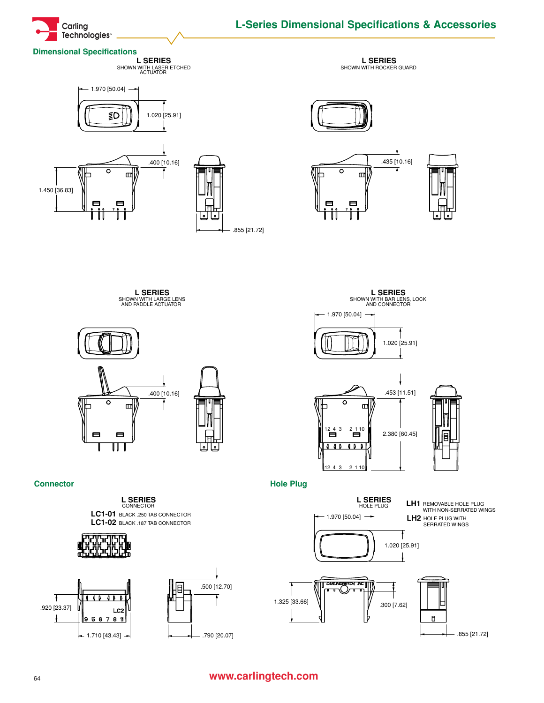

# **L-Series Dimensional Specifications & Accessories**

#### **Dimensional Specifications**

**L SERIES** SHOWN WITH LASER ETCHED ACTUATOR





**L SERIES** SHOWN WITH ROCKER GUARD



**L SERIES** SHOWN WITH LARGE LENS AND PADDLE ACTUATOR



**L SERIES** SHOWN WITH BAR LENS, LOCK AND CONNECTOR





**Connector** Hole Plug





# <sup>64</sup> **www.carlingtech.com**

.920 [23.37]

Ŧ

Ŧ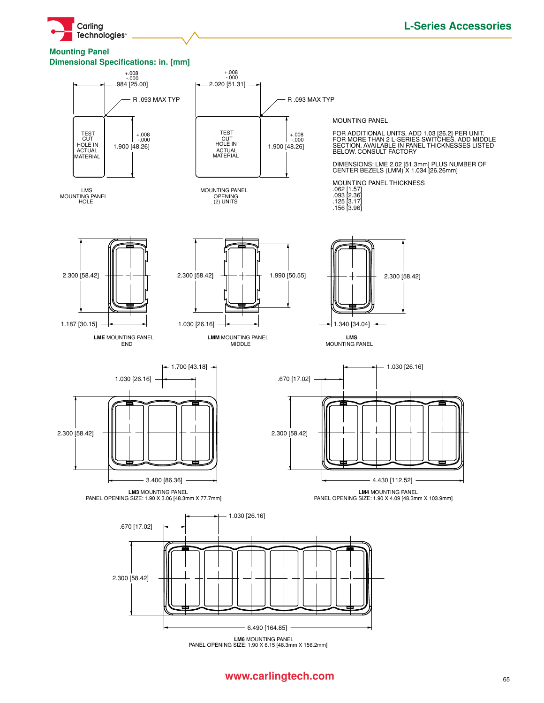

#### **Mounting Panel Dimensional Specifications: in. [mm]**



**LM6** MOUNTING PANEL<br>PANEL OPENING SIZE: 1.90 X 6.15 [48.3mm X 156.2mm]

# **www.carlingtech.com** 65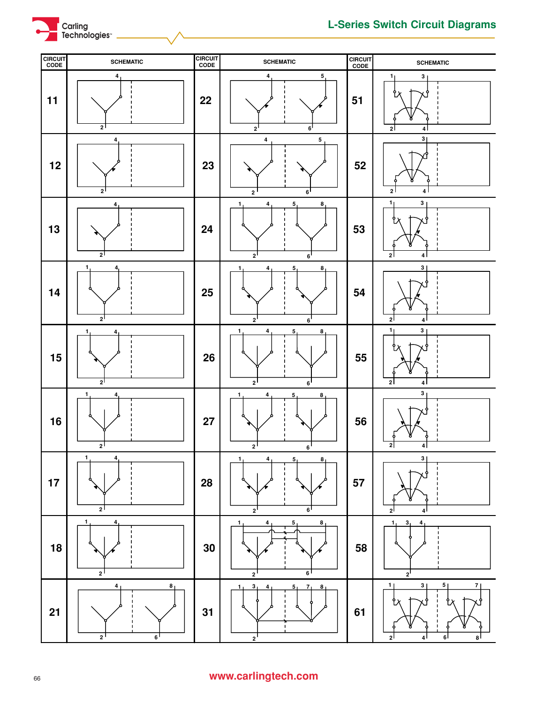



# **www.carlingtech.com**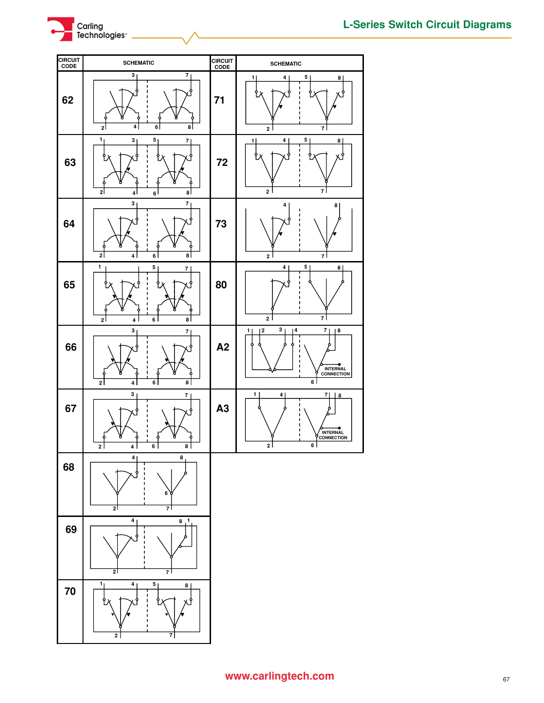



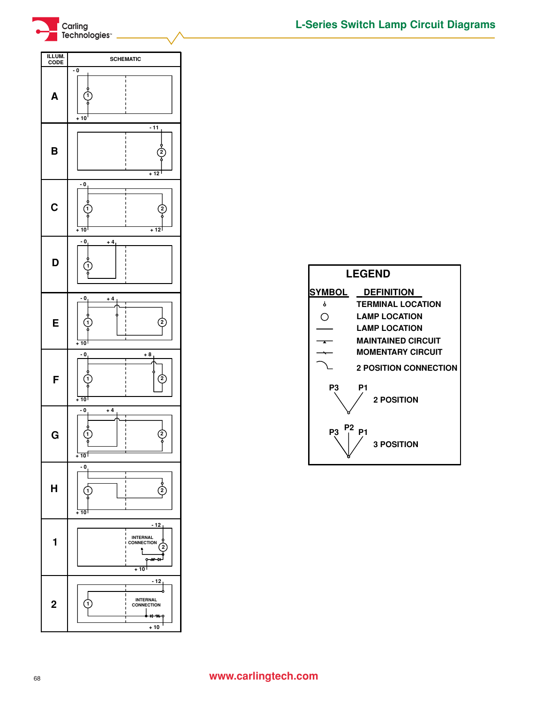